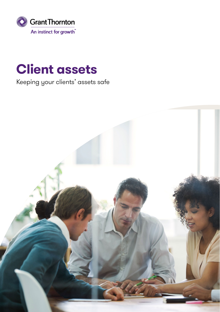

# **Client assets**

## Keeping your clients' assets safe

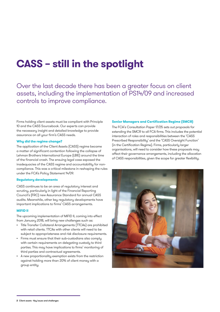## **CASS – still in the spotlight**

Over the last decade there has been a greater focus on client assets, including the implementation of PS14/09 and increased controls to improve compliance.

Firms holding client assets must be compliant with Principle 10 and the CASS Sourcebook. Our experts can provide the necessary insight and detailed knowledge to provide assurance on all your firm's CASS needs.

### **Why did the regime change?**

The application of the Client Assets (CASS) regime became a matter of significant contention following the collapse of Lehman Brothers International Europe (LBIE) around the time of the financial crash. The ensuing legal case exposed the inadequacies of the CASS regime and accountability for noncompliance. This was a critical milestone in reshaping the rules under the FCA's Policy Statement 14/09.

### **Regulatory developments**

CASS continues to be an area of regulatory interest and scrutiny, particularly in light of the Financial Reporting Council's (FRC) new Assurance Standard for annual CASS audits. Meanwhile, other key regulatory developments have important implications to firms' CASS arrangements.

### **MiFID II**

The upcoming implementation of MiFID II, coming into effect from January 2018, will bring new challenges such as:

- Title Transfer Collateral Arrangements (TTCAs) are prohibited with retail clients. TTCAs with other clients will need to be subject to appropriateness and risk disclosure requirements.
- Firms must ensure that their sub-custodians also comply with certain requirements on delegating custody to third parties. This may have implications to firms' monitoring of third parties and contractual agreements.
- A new proportionality exemption exists from the restriction against holding more than 20% of client money with a group entity.

### **Senior Managers and Certification Regime (SMCR)**

The FCA's Consultation Paper 17/25 sets out proposals for extending the SMCR to all FCA firms. This includes the potential interaction of roles and responsibilities between the 'CASS Prescribed Responsibility' and the 'CASS Oversight Function' (in the Certification Regime). Firms, particularly larger organisations, will need to consider how these proposals may affect their governance arrangements, including the allocation of CASS responsibilities, given the scope for greater flexibility.



**<sup>2</sup>** Client assets - Key issues and challenges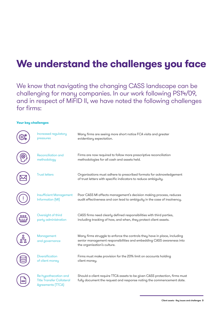## **We understand the challenges you face**

We know that navigating the changing CASS landscape can be challenging for many companies. In our work following PS14/09, and in respect of MiFID II, we have noted the following challenges for firms:

### **Your key challenges**

| Increased regulatory<br>pressures                                             | Many firms are seeing more short notice FCA visits and greater<br>evidentiary expectation.                                                                                       |
|-------------------------------------------------------------------------------|----------------------------------------------------------------------------------------------------------------------------------------------------------------------------------|
| Reconciliation and<br>methodology                                             | Firms are now required to follow more prescriptive reconciliation<br>methodologies for all cash and assets held.                                                                 |
| <b>Trust letters</b>                                                          | Organisations must adhere to prescribed formats for acknowledgement<br>of trust letters with specific indicators to reduce ambiguity.                                            |
| <b>Insufficient Management</b><br>Information [MI]                            | Poor CASS MI affects management's decision making process, reduces<br>audit effectiveness and can lead to ambiguity in the case of insolvency.                                   |
| Oversight of third<br>party administration                                    | CASS firms need clearly defined responsibilities with third parties,<br>including tracking of how, and when, they protect client assets.                                         |
| Management<br>and governance                                                  | Many firms struggle to enforce the controls they have in place, including<br>senior management responsibilities and embedding CASS awareness into<br>the organisation's culture. |
| Diversification<br>of client money                                            | Firms must make provision for the 20% limit on accounts holding<br>client money.                                                                                                 |
| Re-hypothecation and<br><b>Title Transfer Collateral</b><br>Agreements (TTCA) | Should a client require TTCA assets to be given CASS protection, firms must<br>fully document the request and response noting the commencement date.                             |

Client assets - Key issues and challenges **3**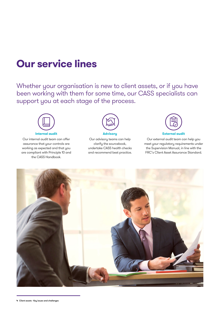## **Our service lines**

Whether your organisation is new to client assets, or if you have been working with them for some time, our CASS specialists can support you at each stage of the process.



Our internal audit team can offer assurance that your controls are working as expected and that you are compliant with Principle 10 and the CASS Handbook.



Our advisory teams can help clarify the sourcebook, undertake CASS health checks and recommend best practice.



Our external audit team can help you meet your regulatory requirements under the Supervision Manual, in line with the FRC's Client Asset Assurance Standard.

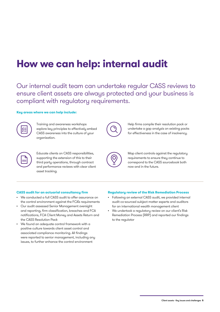## **How we can help: internal audit**

Our internal audit team can undertake regular CASS reviews to ensure client assets are always protected and your business is compliant with regulatory requirements.

### **Key areas where we can help include:**



Training and awareness workshops explore key principles to effectively embed CASS awareness into the culture of your organisation.



Help firms compile their resolution pack or undertake a gap analysis on existing packs for effectiveness in the case of insolvency.



Educate clients on CASS responsibilities, supporting the extension of this to their third party operations, through contract and performance reviews with clear client asset tracking.



Map client controls against the regulatory requirements to ensure they continue to correspond to the CASS sourcebook both now and in the future.

### **CASS audit for an actuarial consultancy firm**

- We conducted a full CASS audit to offer assurance on the control environment against the FCA's requirements
- Our audit assessed Senior Management oversight and reporting, firm classification, breaches and FCA notifications, FCA Client Money and Assets Return and the CASS Resolution Pack
- We found an adequate control framework with a positive culture towards client asset control and associated compliance monitoring. All findings were reported to senior management, including any issues, to further enhance the control environment

### **Regulatory review of the Risk Remediation Process**

- Following an external CASS audit, we provided internal audit co-sourced subject matter experts and auditors for an international wealth management client
- We undertook a regulatory review on our client's Risk Remediation Process (RRP) and reported our findings to the regulator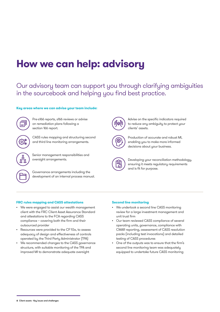## **How we can help: advisory**

### Our advisory team can support you through clarifying ambiguities in the sourcebook and helping you find best practice.

### **Key areas where we can advise your team include:**



Pre-s166 reports, s166 reviews or advise on remediation plans following a section 166 report.



CASS rules mapping and structuring second and third line monitoring arrangements.



Senior management responsibilities and oversight arrangements.

Governance arrangements including the development of an internal process manual.

### **FRC rules mapping and CASS attestations**

- We were engaged to assist our wealth management client with the FRC Client Asset Assurance Standard and attestations to the FCA regarding CASS compliance – covering both the firm and their outsourced provider
- Resources were provided to the CF10a, to assess adequacy of design and effectiveness of controls operated by the Third Party Administrator (TPA)
- We recommended changes to the CASS governance structure, with suitable monitoring of the TPA and improved MI to demonstrate adequate oversight



Advise on the specific indicators required to reduce any ambiguity to protect your clients' assets.



Production of accurate and robust MI, enabling you to make more informed decisions about your business.



Developing your reconciliation methodology, ensuring it meets regulatory requirements and is fit for purpose.

### **Second line monitoring**

- We undertook a second line CASS monitoring review for a large investment management and unit trust firm
- Our team reviewed CASS compliance of several operating units, governance, compliance with CMAR reporting, assessment of CASS resolution packs (including test invocations) and detailed testing of CASS procedures
- One of the outputs was to ensure that the firm's second line monitoring team was adequately equipped to undertake future CASS monitoring

**<sup>6</sup>** Client assets - Key issues and challenges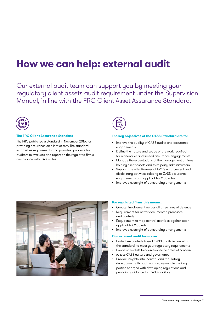## **How we can help: external audit**

Our external audit team can support you by meeting your regulatory client assets audit requirement under the Supervision Manual, in line with the FRC Client Asset Assurance Standard.



### **The FRC Client Assurance Standard**

The FRC published a standard in November 2015, for providing assurance on client assets. The standard establishes requirements and provides guidance for auditors to evaluate and report on the regulated firm's compliance with CASS rules.

### **The key objectives of the CASS Standard are to:**

- Improve the quality of CASS audits and assurance engagements
- Define the nature and scope of the work required for reasonable and limited assurance engagements
- Manage the expectations of the management of firms holding client assets and third party administrators
- Support the effectiveness of FRC's enforcement and disciplinary activities relating to CASS assurance engagements and applicable CASS rules
- Improved oversight of outsourcing arrangements



### **For regulated firms this means:**

- Greater involvement across all three lines of defence
- Requirement for better documented processes and controls
- Requirement to map control activities against each applicable CASS rule
- Improved oversight of outsourcing arrangements

### **Our external audit team can:**

- Undertake controls based CASS audits in line with the standard, to meet your regulatory requirements
- Involve specialists to address specific areas of concern
- Assess CASS culture and governance
- Provide insights into industry and regulatory developments through our involvement in working parties charged with developing regulations and providing guidance for CASS auditors